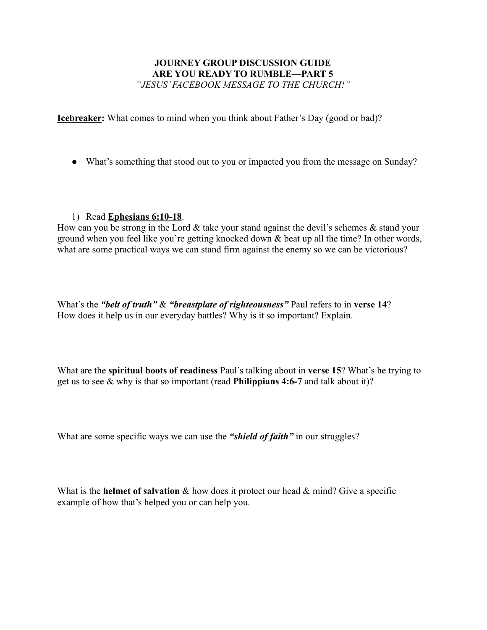## **JOURNEY GROUP DISCUSSION GUIDE ARE YOU READY TO RUMBLE—PART 5** *"JESUS' FACEBOOK MESSAGE TO THE CHURCH!"*

**Icebreaker:** What comes to mind when you think about Father's Day (good or bad)?

• What's something that stood out to you or impacted you from the message on Sunday?

## 1) Read **Ephesians 6:10-18**.

How can you be strong in the Lord  $\&$  take your stand against the devil's schemes  $\&$  stand your ground when you feel like you're getting knocked down & beat up all the time? In other words, what are some practical ways we can stand firm against the enemy so we can be victorious?

What's the *"belt of truth"* & *"breastplate of righteousness"* Paul refers to in **verse 14**? How does it help us in our everyday battles? Why is it so important? Explain.

What are the **spiritual boots of readiness** Paul's talking about in **verse 15**? What's he trying to get us to see & why is that so important (read **Philippians 4:6-7** and talk about it)?

What are some specific ways we can use the *"shield of faith"* in our struggles?

What is the **helmet of salvation** & how does it protect our head & mind? Give a specific example of how that's helped you or can help you.